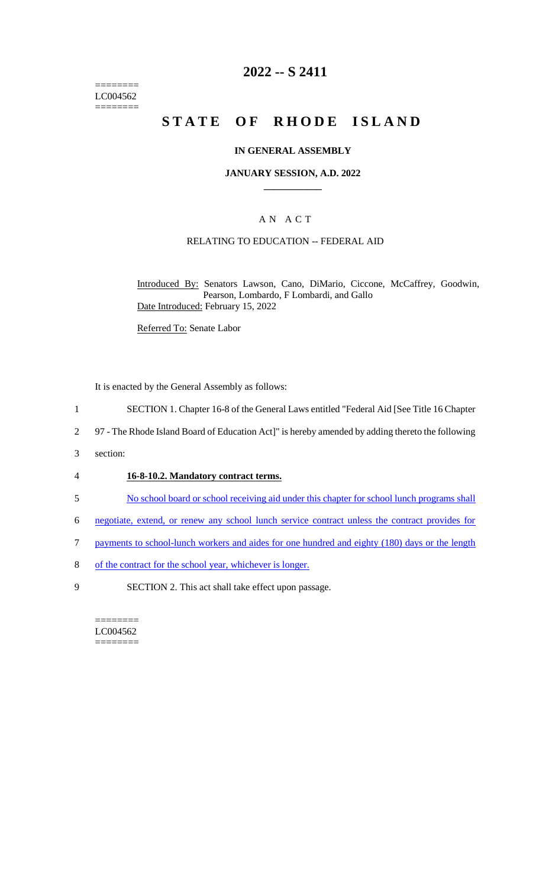======== LC004562  $=$ 

## **2022 -- S 2411**

# **STATE OF RHODE ISLAND**

#### **IN GENERAL ASSEMBLY**

#### **JANUARY SESSION, A.D. 2022 \_\_\_\_\_\_\_\_\_\_\_\_**

#### A N A C T

#### RELATING TO EDUCATION -- FEDERAL AID

Introduced By: Senators Lawson, Cano, DiMario, Ciccone, McCaffrey, Goodwin, Pearson, Lombardo, F Lombardi, and Gallo Date Introduced: February 15, 2022

Referred To: Senate Labor

It is enacted by the General Assembly as follows:

- 1 SECTION 1. Chapter 16-8 of the General Laws entitled "Federal Aid [See Title 16 Chapter
- 2 97 The Rhode Island Board of Education Act]" is hereby amended by adding thereto the following
- 3 section:

#### 4 **16-8-10.2. Mandatory contract terms.**

- 5 No school board or school receiving aid under this chapter for school lunch programs shall
- 6 negotiate, extend, or renew any school lunch service contract unless the contract provides for
- 7 payments to school-lunch workers and aides for one hundred and eighty (180) days or the length
- 8 of the contract for the school year, whichever is longer.
- 9 SECTION 2. This act shall take effect upon passage.

======== LC004562 ========